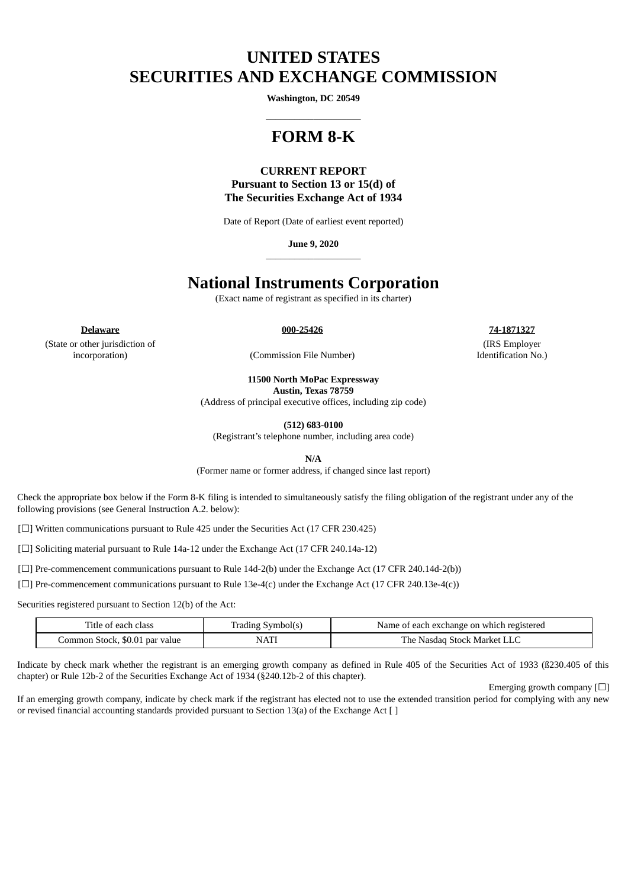# **UNITED STATES SECURITIES AND EXCHANGE COMMISSION**

**Washington, DC 20549**  $\_$ 

## **FORM 8-K**

**CURRENT REPORT Pursuant to Section 13 or 15(d) of The Securities Exchange Act of 1934**

Date of Report (Date of earliest event reported)

**June 9, 2020** \_\_\_\_\_\_\_\_\_\_\_\_\_\_\_\_\_\_\_\_

## **National Instruments Corporation**

(Exact name of registrant as specified in its charter)

**Delaware 000-25426 74-1871327**

(State or other jurisdiction of incorporation) (Commission File Number)

(IRS Employer Identification No.)

**11500 North MoPac Expressway**

**Austin, Texas 78759**

(Address of principal executive offices, including zip code)

**(512) 683-0100**

(Registrant's telephone number, including area code)

**N/A**

(Former name or former address, if changed since last report)

Check the appropriate box below if the Form 8-K filing is intended to simultaneously satisfy the filing obligation of the registrant under any of the following provisions (see General Instruction A.2. below):

[☐] Written communications pursuant to Rule 425 under the Securities Act (17 CFR 230.425)

[□] Soliciting material pursuant to Rule 14a-12 under the Exchange Act (17 CFR 240.14a-12)

[ $\Box$ ] Pre-commencement communications pursuant to Rule 14d-2(b) under the Exchange Act (17 CFR 240.14d-2(b))

[ $\square$ ] Pre-commencement communications pursuant to Rule 13e-4(c) under the Exchange Act (17 CFR 240.13e-4(c))

Securities registered pursuant to Section 12(b) of the Act:

| Title of each class            | Symbol(s)<br>rading | Name of each exchange on which registered |
|--------------------------------|---------------------|-------------------------------------------|
| Common Stock, \$0.01 par value | <b>NATI</b>         | The .<br>Nasdag .<br>Stock Market         |

Indicate by check mark whether the registrant is an emerging growth company as defined in Rule 405 of the Securities Act of 1933 (ß230.405 of this chapter) or Rule 12b-2 of the Securities Exchange Act of 1934 (§240.12b-2 of this chapter).

Emerging growth company [☐]

If an emerging growth company, indicate by check mark if the registrant has elected not to use the extended transition period for complying with any new or revised financial accounting standards provided pursuant to Section 13(a) of the Exchange Act [ ]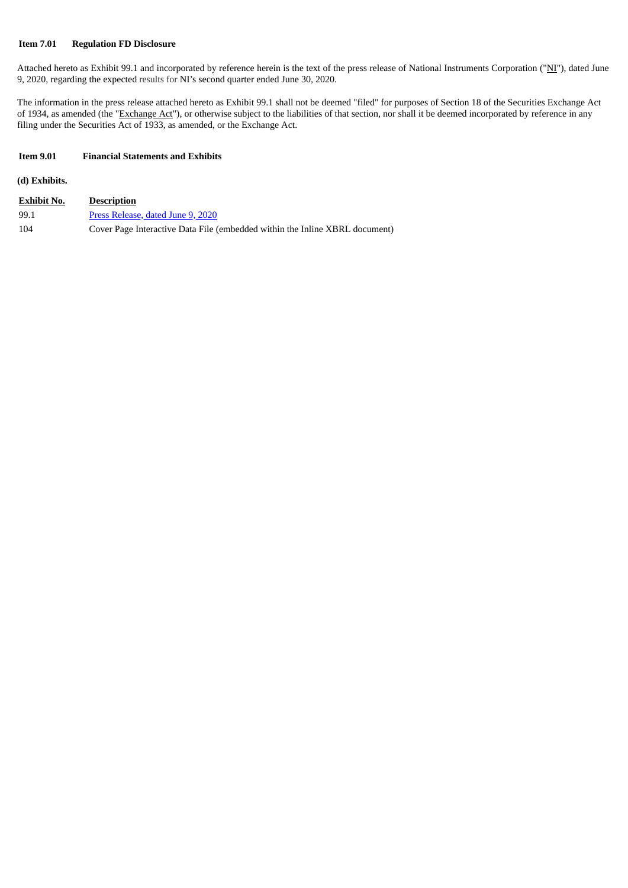#### **Item 7.01 Regulation FD Disclosure**

Attached hereto as Exhibit 99.1 and incorporated by reference herein is the text of the press release of National Instruments Corporation ("NI"), dated June 9, 2020, regarding the expected results for NI's second quarter ended June 30, 2020.

The information in the press release attached hereto as Exhibit 99.1 shall not be deemed "filed" for purposes of Section 18 of the Securities Exchange Act of 1934, as amended (the "Exchange Act"), or otherwise subject to the liabilities of that section, nor shall it be deemed incorporated by reference in any filing under the Securities Act of 1933, as amended, or the Exchange Act.

#### **Item 9.01 Financial Statements and Exhibits**

**(d) Exhibits.**

| <b>Exhibit No.</b> | <b>Description</b>                                                          |
|--------------------|-----------------------------------------------------------------------------|
| 99.1               | Press Release, dated June 9, 2020                                           |
| 104                | Cover Page Interactive Data File (embedded within the Inline XBRL document) |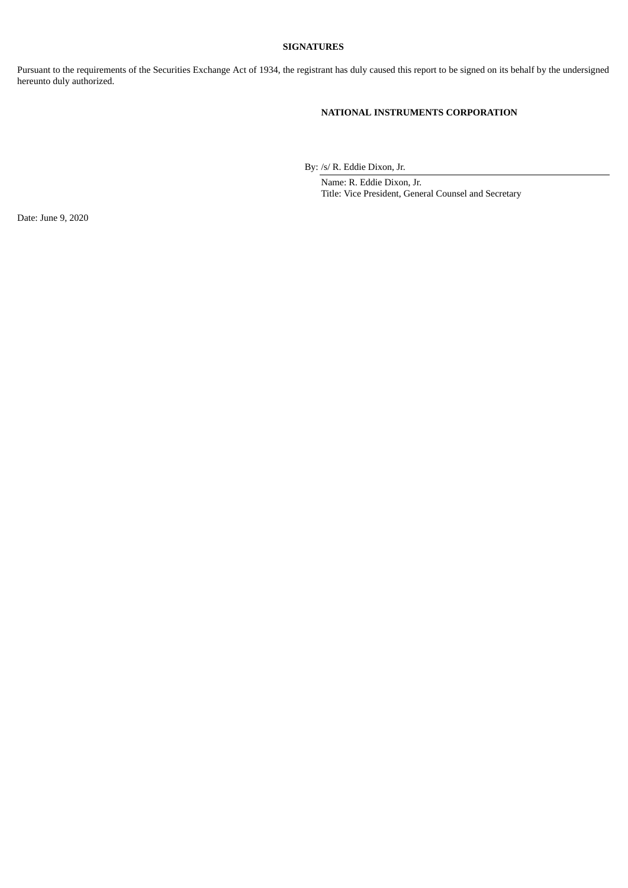#### **SIGNATURES**

Pursuant to the requirements of the Securities Exchange Act of 1934, the registrant has duly caused this report to be signed on its behalf by the undersigned hereunto duly authorized.

### **NATIONAL INSTRUMENTS CORPORATION**

By: /s/ R. Eddie Dixon, Jr.

Name: R. Eddie Dixon, Jr. Title: Vice President, General Counsel and Secretary

Date: June 9, 2020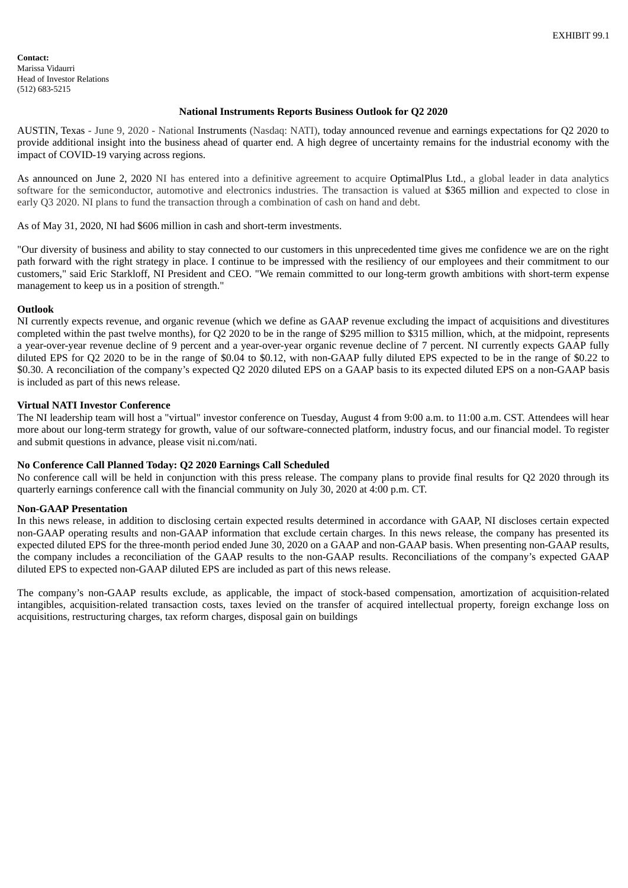<span id="page-3-0"></span>**Contact:** Marissa Vidaurri Head of Investor Relations (512) 683-5215

#### **National Instruments Reports Business Outlook for Q2 2020**

AUSTIN, Texas - June 9, 2020 - National Instruments (Nasdaq: NATI), today announced revenue and earnings expectations for Q2 2020 to provide additional insight into the business ahead of quarter end. A high degree of uncertainty remains for the industrial economy with the impact of COVID-19 varying across regions.

As announced on June 2, 2020 NI has entered into a definitive agreement to acquire OptimalPlus Ltd., a global leader in data analytics software for the semiconductor, automotive and electronics industries. The transaction is valued at \$365 million and expected to close in early Q3 2020. NI plans to fund the transaction through a combination of cash on hand and debt.

As of May 31, 2020, NI had \$606 million in cash and short-term investments.

"Our diversity of business and ability to stay connected to our customers in this unprecedented time gives me confidence we are on the right path forward with the right strategy in place. I continue to be impressed with the resiliency of our employees and their commitment to our customers," said Eric Starkloff, NI President and CEO. "We remain committed to our long-term growth ambitions with short-term expense management to keep us in a position of strength."

#### **Outlook**

NI currently expects revenue, and organic revenue (which we define as GAAP revenue excluding the impact of acquisitions and divestitures completed within the past twelve months), for Q2 2020 to be in the range of \$295 million to \$315 million, which, at the midpoint, represents a year-over-year revenue decline of 9 percent and a year-over-year organic revenue decline of 7 percent. NI currently expects GAAP fully diluted EPS for Q2 2020 to be in the range of \$0.04 to \$0.12, with non-GAAP fully diluted EPS expected to be in the range of \$0.22 to \$0.30. A reconciliation of the company's expected Q2 2020 diluted EPS on a GAAP basis to its expected diluted EPS on a non-GAAP basis is included as part of this news release.

#### **Virtual NATI Investor Conference**

The NI leadership team will host a "virtual" investor conference on Tuesday, August 4 from 9:00 a.m. to 11:00 a.m. CST. Attendees will hear more about our long-term strategy for growth, value of our software-connected platform, industry focus, and our financial model. To register and submit questions in advance, please visit ni.com/nati.

#### **No Conference Call Planned Today: Q2 2020 Earnings Call Scheduled**

No conference call will be held in conjunction with this press release. The company plans to provide final results for Q2 2020 through its quarterly earnings conference call with the financial community on July 30, 2020 at 4:00 p.m. CT.

#### **Non-GAAP Presentation**

In this news release, in addition to disclosing certain expected results determined in accordance with GAAP, NI discloses certain expected non-GAAP operating results and non-GAAP information that exclude certain charges. In this news release, the company has presented its expected diluted EPS for the three-month period ended June 30, 2020 on a GAAP and non-GAAP basis. When presenting non-GAAP results, the company includes a reconciliation of the GAAP results to the non-GAAP results. Reconciliations of the company's expected GAAP diluted EPS to expected non-GAAP diluted EPS are included as part of this news release.

The company's non-GAAP results exclude, as applicable, the impact of stock-based compensation, amortization of acquisition-related intangibles, acquisition-related transaction costs, taxes levied on the transfer of acquired intellectual property, foreign exchange loss on acquisitions, restructuring charges, tax reform charges, disposal gain on buildings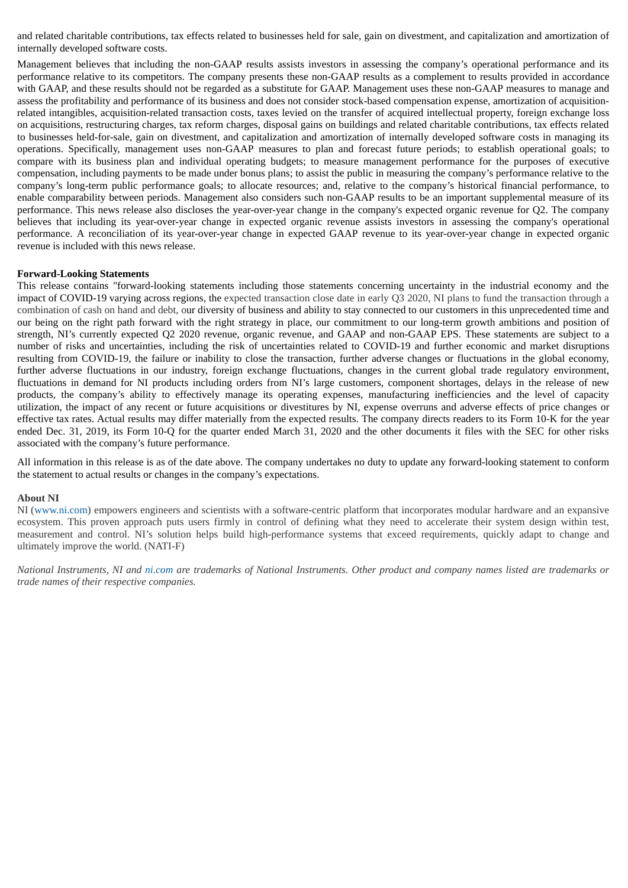and related charitable contributions, tax effects related to businesses held for sale, gain on divestment, and capitalization and amortization of internally developed software costs.

Management believes that including the non-GAAP results assists investors in assessing the company's operational performance and its performance relative to its competitors. The company presents these non-GAAP results as a complement to results provided in accordance with GAAP, and these results should not be regarded as a substitute for GAAP. Management uses these non-GAAP measures to manage and assess the profitability and performance of its business and does not consider stock-based compensation expense, amortization of acquisitionrelated intangibles, acquisition-related transaction costs, taxes levied on the transfer of acquired intellectual property, foreign exchange loss on acquisitions, restructuring charges, tax reform charges, disposal gains on buildings and related charitable contributions, tax effects related to businesses held-for-sale, gain on divestment, and capitalization and amortization of internally developed software costs in managing its operations. Specifically, management uses non-GAAP measures to plan and forecast future periods; to establish operational goals; to compare with its business plan and individual operating budgets; to measure management performance for the purposes of executive compensation, including payments to be made under bonus plans; to assist the public in measuring the company's performance relative to the company's long-term public performance goals; to allocate resources; and, relative to the company's historical financial performance, to enable comparability between periods. Management also considers such non-GAAP results to be an important supplemental measure of its performance. This news release also discloses the year-over-year change in the company's expected organic revenue for Q2. The company believes that including its year-over-year change in expected organic revenue assists investors in assessing the company's operational performance. A reconciliation of its year-over-year change in expected GAAP revenue to its year-over-year change in expected organic revenue is included with this news release.

#### **Forward-Looking Statements**

This release contains "forward-looking statements including those statements concerning uncertainty in the industrial economy and the impact of COVID-19 varying across regions, the expected transaction close date in early Q3 2020, NI plans to fund the transaction through a combination of cash on hand and debt, our diversity of business and ability to stay connected to our customers in this unprecedented time and our being on the right path forward with the right strategy in place, our commitment to our long-term growth ambitions and position of strength, NI's currently expected Q2 2020 revenue, organic revenue, and GAAP and non-GAAP EPS. These statements are subject to a number of risks and uncertainties, including the risk of uncertainties related to COVID-19 and further economic and market disruptions resulting from COVID-19, the failure or inability to close the transaction, further adverse changes or fluctuations in the global economy, further adverse fluctuations in our industry, foreign exchange fluctuations, changes in the current global trade regulatory environment, fluctuations in demand for NI products including orders from NI's large customers, component shortages, delays in the release of new products, the company's ability to effectively manage its operating expenses, manufacturing inefficiencies and the level of capacity utilization, the impact of any recent or future acquisitions or divestitures by NI, expense overruns and adverse effects of price changes or effective tax rates. Actual results may differ materially from the expected results. The company directs readers to its Form 10-K for the year ended Dec. 31, 2019, its Form 10-Q for the quarter ended March 31, 2020 and the other documents it files with the SEC for other risks associated with the company's future performance.

All information in this release is as of the date above. The company undertakes no duty to update any forward-looking statement to conform the statement to actual results or changes in the company's expectations.

#### **About NI**

NI (www.ni.com) empowers engineers and scientists with a software-centric platform that incorporates modular hardware and an expansive ecosystem. This proven approach puts users firmly in control of defining what they need to accelerate their system design within test, measurement and control. NI's solution helps build high-performance systems that exceed requirements, quickly adapt to change and ultimately improve the world. (NATI-F)

National Instruments, NI and ni.com are trademarks of National Instruments. Other product and company names listed are trademarks or *trade names of their respective companies.*